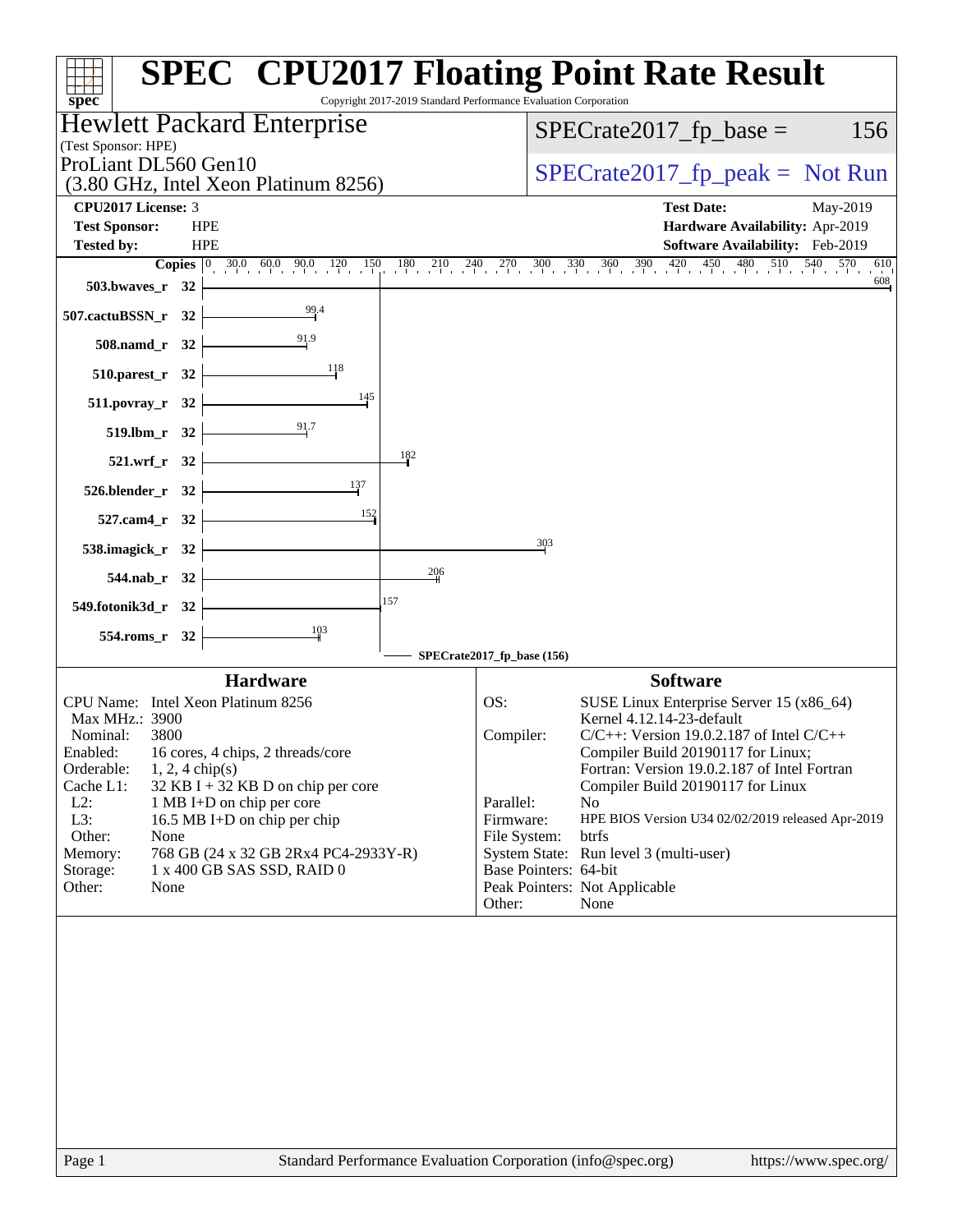| Hewlett Packard Enterprise<br>$SPECrate2017_fp\_base =$<br>(Test Sponsor: HPE)<br>ProLiant DL560 Gen10<br>$SPECrate2017_fp\_peak = Not Run$<br>(3.80 GHz, Intel Xeon Platinum 8256)<br>CPU2017 License: 3<br><b>Test Date:</b><br>May-2019<br><b>Test Sponsor:</b><br><b>HPE</b><br><b>HPE</b><br><b>Tested by:</b><br><b>Copies</b> $\begin{bmatrix} 0 & 30.0 & 60.0 & 90.0 & 120 & 150 & 180 & 210 & 240 & 270 & 300 & 330 & 360 & 390 & 420 & 450 & 480 & 510 & 540 & 570 & 6 \end{bmatrix}$<br>503.bwaves_r $32$ $\vdash$ |  |  |  | Copyright 2017-2019 Standard Performance Evaluation Corporation |  |  |  |
|-------------------------------------------------------------------------------------------------------------------------------------------------------------------------------------------------------------------------------------------------------------------------------------------------------------------------------------------------------------------------------------------------------------------------------------------------------------------------------------------------------------------------------|--|--|--|-----------------------------------------------------------------|--|--|--|
|                                                                                                                                                                                                                                                                                                                                                                                                                                                                                                                               |  |  |  | 156                                                             |  |  |  |
|                                                                                                                                                                                                                                                                                                                                                                                                                                                                                                                               |  |  |  |                                                                 |  |  |  |
|                                                                                                                                                                                                                                                                                                                                                                                                                                                                                                                               |  |  |  |                                                                 |  |  |  |
|                                                                                                                                                                                                                                                                                                                                                                                                                                                                                                                               |  |  |  |                                                                 |  |  |  |
|                                                                                                                                                                                                                                                                                                                                                                                                                                                                                                                               |  |  |  | Hardware Availability: Apr-2019                                 |  |  |  |
|                                                                                                                                                                                                                                                                                                                                                                                                                                                                                                                               |  |  |  | Software Availability: Feb-2019                                 |  |  |  |
|                                                                                                                                                                                                                                                                                                                                                                                                                                                                                                                               |  |  |  | 610<br>608                                                      |  |  |  |
|                                                                                                                                                                                                                                                                                                                                                                                                                                                                                                                               |  |  |  |                                                                 |  |  |  |
| 507.cactuBSSN_r 32 $\vert$                                                                                                                                                                                                                                                                                                                                                                                                                                                                                                    |  |  |  |                                                                 |  |  |  |
| $508$ .namd_r 32<br>$\frac{118}{1}$                                                                                                                                                                                                                                                                                                                                                                                                                                                                                           |  |  |  |                                                                 |  |  |  |
| $510.parest_r$ 32                                                                                                                                                                                                                                                                                                                                                                                                                                                                                                             |  |  |  |                                                                 |  |  |  |
| $511. povray_r 32$<br>519.1bm_r 32 $\frac{91}{7}$                                                                                                                                                                                                                                                                                                                                                                                                                                                                             |  |  |  |                                                                 |  |  |  |
| 182<br>$521.wrf_r$ 32                                                                                                                                                                                                                                                                                                                                                                                                                                                                                                         |  |  |  |                                                                 |  |  |  |
| 137<br>$526.$ blender_r 32                                                                                                                                                                                                                                                                                                                                                                                                                                                                                                    |  |  |  |                                                                 |  |  |  |
| 152<br>$527$ .cam4_r $32$                                                                                                                                                                                                                                                                                                                                                                                                                                                                                                     |  |  |  |                                                                 |  |  |  |
| 303<br>538.imagick_r 32 $\vdash$                                                                                                                                                                                                                                                                                                                                                                                                                                                                                              |  |  |  |                                                                 |  |  |  |
| 206<br>$544$ .nab_r 32 $\vdash$                                                                                                                                                                                                                                                                                                                                                                                                                                                                                               |  |  |  |                                                                 |  |  |  |
| 157<br>549.fotonik3d_r 32 $\vert$                                                                                                                                                                                                                                                                                                                                                                                                                                                                                             |  |  |  |                                                                 |  |  |  |
| $\frac{103}{ }$<br>$554$ .roms_r 32 $\vert$                                                                                                                                                                                                                                                                                                                                                                                                                                                                                   |  |  |  |                                                                 |  |  |  |
| SPECrate2017_fp_base (156)                                                                                                                                                                                                                                                                                                                                                                                                                                                                                                    |  |  |  |                                                                 |  |  |  |
| <b>Hardware</b><br><b>Software</b>                                                                                                                                                                                                                                                                                                                                                                                                                                                                                            |  |  |  |                                                                 |  |  |  |
| CPU Name: Intel Xeon Platinum 8256<br>OS:                                                                                                                                                                                                                                                                                                                                                                                                                                                                                     |  |  |  | SUSE Linux Enterprise Server 15 (x86_64)                        |  |  |  |
| Kernel 4.12.14-23-default<br>Max MHz.: 3900                                                                                                                                                                                                                                                                                                                                                                                                                                                                                   |  |  |  |                                                                 |  |  |  |
| Nominal:<br>3800<br>Compiler:<br>$C/C++$ : Version 19.0.2.187 of Intel $C/C++$<br>Compiler Build 20190117 for Linux;<br>Enabled:<br>16 cores, 4 chips, 2 threads/core                                                                                                                                                                                                                                                                                                                                                         |  |  |  |                                                                 |  |  |  |
| Orderable:<br>$1, 2, 4$ chip(s)                                                                                                                                                                                                                                                                                                                                                                                                                                                                                               |  |  |  | Fortran: Version 19.0.2.187 of Intel Fortran                    |  |  |  |
| Cache L1:<br>Compiler Build 20190117 for Linux<br>$32$ KB I + 32 KB D on chip per core                                                                                                                                                                                                                                                                                                                                                                                                                                        |  |  |  |                                                                 |  |  |  |
| $L2$ :<br>1 MB I+D on chip per core<br>Parallel:<br>No.<br>L3:<br>16.5 MB I+D on chip per chip<br>Firmware:                                                                                                                                                                                                                                                                                                                                                                                                                   |  |  |  | HPE BIOS Version U34 02/02/2019 released Apr-2019               |  |  |  |
| Other:<br>None<br>File System:<br>btrfs                                                                                                                                                                                                                                                                                                                                                                                                                                                                                       |  |  |  |                                                                 |  |  |  |
| System State: Run level 3 (multi-user)<br>Memory:<br>768 GB (24 x 32 GB 2Rx4 PC4-2933Y-R)                                                                                                                                                                                                                                                                                                                                                                                                                                     |  |  |  |                                                                 |  |  |  |
| 1 x 400 GB SAS SSD, RAID 0<br>Base Pointers: 64-bit<br>Storage:                                                                                                                                                                                                                                                                                                                                                                                                                                                               |  |  |  |                                                                 |  |  |  |
| Other:<br>None<br>Peak Pointers: Not Applicable<br>Other:<br>None                                                                                                                                                                                                                                                                                                                                                                                                                                                             |  |  |  |                                                                 |  |  |  |
|                                                                                                                                                                                                                                                                                                                                                                                                                                                                                                                               |  |  |  |                                                                 |  |  |  |
|                                                                                                                                                                                                                                                                                                                                                                                                                                                                                                                               |  |  |  |                                                                 |  |  |  |
| Standard Performance Evaluation Corporation (info@spec.org)<br>https://www.spec.org/<br>Page 1                                                                                                                                                                                                                                                                                                                                                                                                                                |  |  |  |                                                                 |  |  |  |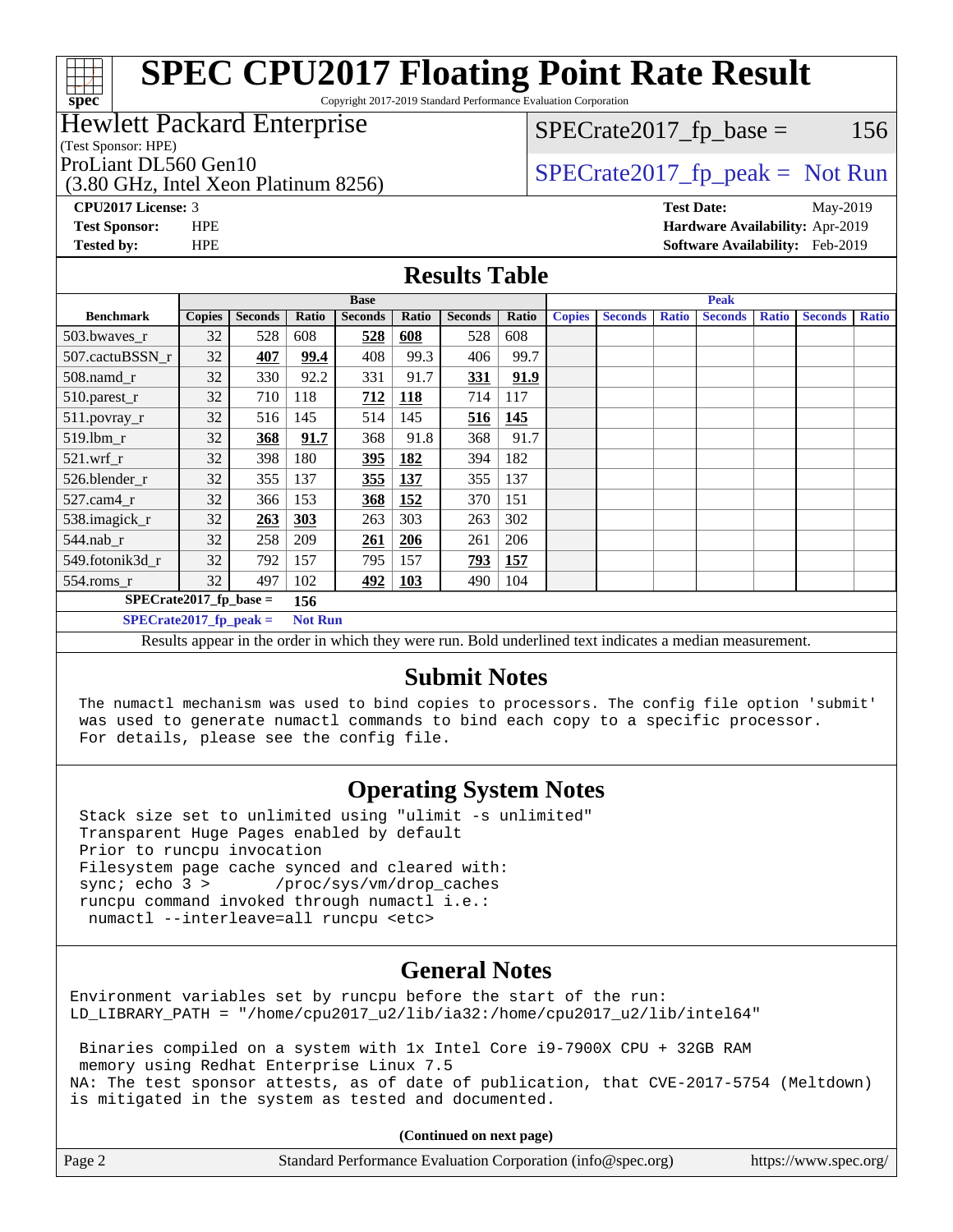# **[spec](http://www.spec.org/)**

## **[SPEC CPU2017 Floating Point Rate Result](http://www.spec.org/auto/cpu2017/Docs/result-fields.html#SPECCPU2017FloatingPointRateResult)**

Copyright 2017-2019 Standard Performance Evaluation Corporation

### Hewlett Packard Enterprise

(Test Sponsor: HPE)

 $SPECTate2017<sub>fr</sub> base = 156$ 

(3.80 GHz, Intel Xeon Platinum 8256)

ProLiant DL560 Gen10  $SPECrate2017$ \_fp\_peak = Not Run

**[CPU2017 License:](http://www.spec.org/auto/cpu2017/Docs/result-fields.html#CPU2017License)** 3 **[Test Date:](http://www.spec.org/auto/cpu2017/Docs/result-fields.html#TestDate)** May-2019 **[Test Sponsor:](http://www.spec.org/auto/cpu2017/Docs/result-fields.html#TestSponsor)** HPE **[Hardware Availability:](http://www.spec.org/auto/cpu2017/Docs/result-fields.html#HardwareAvailability)** Apr-2019 **[Tested by:](http://www.spec.org/auto/cpu2017/Docs/result-fields.html#Testedby)** HPE **[Software Availability:](http://www.spec.org/auto/cpu2017/Docs/result-fields.html#SoftwareAvailability)** Feb-2019

#### **[Results Table](http://www.spec.org/auto/cpu2017/Docs/result-fields.html#ResultsTable)**

|                                 |               | <b>Base</b>    |                |                |            |                |       | <b>Peak</b>   |                |              |                |              |                |              |
|---------------------------------|---------------|----------------|----------------|----------------|------------|----------------|-------|---------------|----------------|--------------|----------------|--------------|----------------|--------------|
| <b>Benchmark</b>                | <b>Copies</b> | <b>Seconds</b> | Ratio          | <b>Seconds</b> | Ratio      | <b>Seconds</b> | Ratio | <b>Copies</b> | <b>Seconds</b> | <b>Ratio</b> | <b>Seconds</b> | <b>Ratio</b> | <b>Seconds</b> | <b>Ratio</b> |
| 503.bwayes_r                    | 32            | 528            | 608            | 528            | 608        | 528            | 608   |               |                |              |                |              |                |              |
| 507.cactuBSSN r                 | 32            | 407            | 99.4           | 408            | 99.3       | 406            | 99.7  |               |                |              |                |              |                |              |
| $508$ .namd $r$                 | 32            | 330            | 92.2           | 331            | 91.7       | 331            | 91.9  |               |                |              |                |              |                |              |
| 510.parest_r                    | 32            | 710            | 118            | 712            | <b>118</b> | 714            | 117   |               |                |              |                |              |                |              |
| 511.povray_r                    | 32            | 516            | 145            | 514            | 145        | 516            | 145   |               |                |              |                |              |                |              |
| $519$ .lbm $r$                  | 32            | 368            | 91.7           | 368            | 91.8       | 368            | 91.7  |               |                |              |                |              |                |              |
| $521$ .wrf r                    | 32            | 398            | 180            | <u>395</u>     | 182        | 394            | 182   |               |                |              |                |              |                |              |
| 526.blender r                   | 32            | 355            | 137            | 355            | 137        | 355            | 137   |               |                |              |                |              |                |              |
| $527$ .cam $4r$                 | 32            | 366            | 153            | 368            | 152        | 370            | 151   |               |                |              |                |              |                |              |
| 538.imagick_r                   | 32            | 263            | 303            | 263            | 303        | 263            | 302   |               |                |              |                |              |                |              |
| $544$ .nab_r                    | 32            | 258            | 209            | <u>261</u>     | 206        | 261            | 206   |               |                |              |                |              |                |              |
| 549.fotonik3d r                 | 32            | 792            | 157            | 795            | 157        | 793            | 157   |               |                |              |                |              |                |              |
| $554$ .roms_r                   | 32            | 497            | 102            | <u>492</u>     | 103        | 490            | 104   |               |                |              |                |              |                |              |
| $SPECrate2017$ fp base =<br>156 |               |                |                |                |            |                |       |               |                |              |                |              |                |              |
| $SPECrate2017$ fp peak =        |               |                | <b>Not Run</b> |                |            |                |       |               |                |              |                |              |                |              |

Results appear in the [order in which they were run.](http://www.spec.org/auto/cpu2017/Docs/result-fields.html#RunOrder) Bold underlined text [indicates a median measurement.](http://www.spec.org/auto/cpu2017/Docs/result-fields.html#Median)

### **[Submit Notes](http://www.spec.org/auto/cpu2017/Docs/result-fields.html#SubmitNotes)**

 The numactl mechanism was used to bind copies to processors. The config file option 'submit' was used to generate numactl commands to bind each copy to a specific processor. For details, please see the config file.

## **[Operating System Notes](http://www.spec.org/auto/cpu2017/Docs/result-fields.html#OperatingSystemNotes)**

 Stack size set to unlimited using "ulimit -s unlimited" Transparent Huge Pages enabled by default Prior to runcpu invocation Filesystem page cache synced and cleared with: sync; echo 3 > /proc/sys/vm/drop\_caches runcpu command invoked through numactl i.e.: numactl --interleave=all runcpu <etc>

## **[General Notes](http://www.spec.org/auto/cpu2017/Docs/result-fields.html#GeneralNotes)**

Environment variables set by runcpu before the start of the run: LD\_LIBRARY\_PATH = "/home/cpu2017\_u2/lib/ia32:/home/cpu2017\_u2/lib/intel64"

 Binaries compiled on a system with 1x Intel Core i9-7900X CPU + 32GB RAM memory using Redhat Enterprise Linux 7.5 NA: The test sponsor attests, as of date of publication, that CVE-2017-5754 (Meltdown) is mitigated in the system as tested and documented.

**(Continued on next page)**

| Page 2<br>Standard Performance Evaluation Corporation (info@spec.org) | https://www.spec.org/ |
|-----------------------------------------------------------------------|-----------------------|
|-----------------------------------------------------------------------|-----------------------|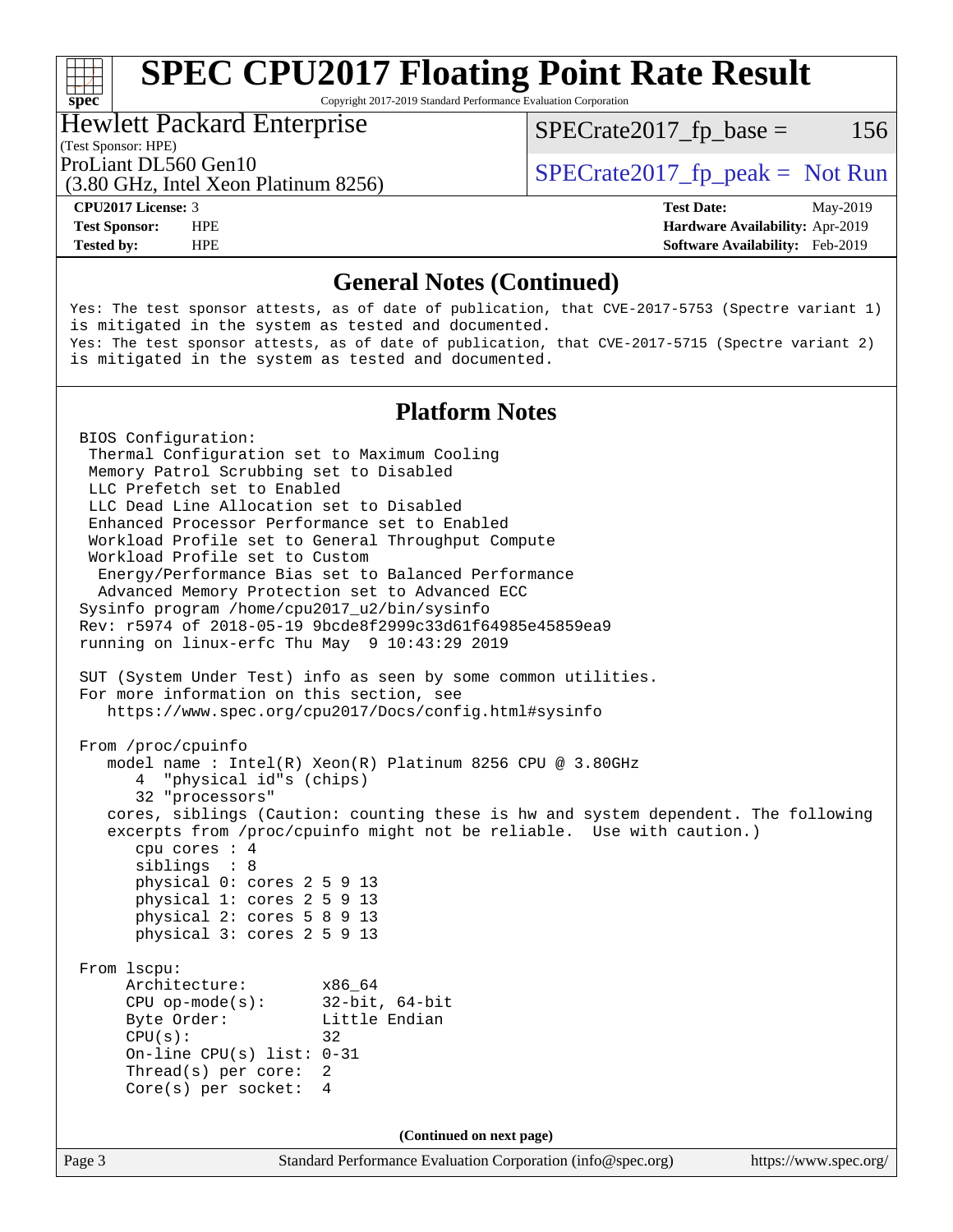Copyright 2017-2019 Standard Performance Evaluation Corporation

#### Hewlett Packard Enterprise

(3.80 GHz, Intel Xeon Platinum 8256)

(Test Sponsor: HPE)

 $SPECTate2017<sub>fr</sub> base = 156$ 

ProLiant DL560 Gen10  $SPECrate2017$  fp\_peak = Not Run

**[spec](http://www.spec.org/)**

**[Tested by:](http://www.spec.org/auto/cpu2017/Docs/result-fields.html#Testedby)** HPE **[Software Availability:](http://www.spec.org/auto/cpu2017/Docs/result-fields.html#SoftwareAvailability)** Feb-2019

**[CPU2017 License:](http://www.spec.org/auto/cpu2017/Docs/result-fields.html#CPU2017License)** 3 **[Test Date:](http://www.spec.org/auto/cpu2017/Docs/result-fields.html#TestDate)** May-2019 **[Test Sponsor:](http://www.spec.org/auto/cpu2017/Docs/result-fields.html#TestSponsor)** HPE **[Hardware Availability:](http://www.spec.org/auto/cpu2017/Docs/result-fields.html#HardwareAvailability)** Apr-2019

#### **[General Notes \(Continued\)](http://www.spec.org/auto/cpu2017/Docs/result-fields.html#GeneralNotes)**

Yes: The test sponsor attests, as of date of publication, that CVE-2017-5753 (Spectre variant 1) is mitigated in the system as tested and documented. Yes: The test sponsor attests, as of date of publication, that CVE-2017-5715 (Spectre variant 2) is mitigated in the system as tested and documented.

### **[Platform Notes](http://www.spec.org/auto/cpu2017/Docs/result-fields.html#PlatformNotes)**

Page 3 Standard Performance Evaluation Corporation [\(info@spec.org\)](mailto:info@spec.org) <https://www.spec.org/> BIOS Configuration: Thermal Configuration set to Maximum Cooling Memory Patrol Scrubbing set to Disabled LLC Prefetch set to Enabled LLC Dead Line Allocation set to Disabled Enhanced Processor Performance set to Enabled Workload Profile set to General Throughput Compute Workload Profile set to Custom Energy/Performance Bias set to Balanced Performance Advanced Memory Protection set to Advanced ECC Sysinfo program /home/cpu2017\_u2/bin/sysinfo Rev: r5974 of 2018-05-19 9bcde8f2999c33d61f64985e45859ea9 running on linux-erfc Thu May 9 10:43:29 2019 SUT (System Under Test) info as seen by some common utilities. For more information on this section, see <https://www.spec.org/cpu2017/Docs/config.html#sysinfo> From /proc/cpuinfo model name : Intel(R) Xeon(R) Platinum 8256 CPU @ 3.80GHz 4 "physical id"s (chips) 32 "processors" cores, siblings (Caution: counting these is hw and system dependent. The following excerpts from /proc/cpuinfo might not be reliable. Use with caution.) cpu cores : 4 siblings : 8 physical 0: cores 2 5 9 13 physical 1: cores 2 5 9 13 physical 2: cores 5 8 9 13 physical 3: cores 2 5 9 13 From lscpu: Architecture: x86\_64 CPU op-mode(s): 32-bit, 64-bit Byte Order: Little Endian  $CPU(s):$  32 On-line CPU(s) list: 0-31 Thread(s) per core: 2 Core(s) per socket: 4 **(Continued on next page)**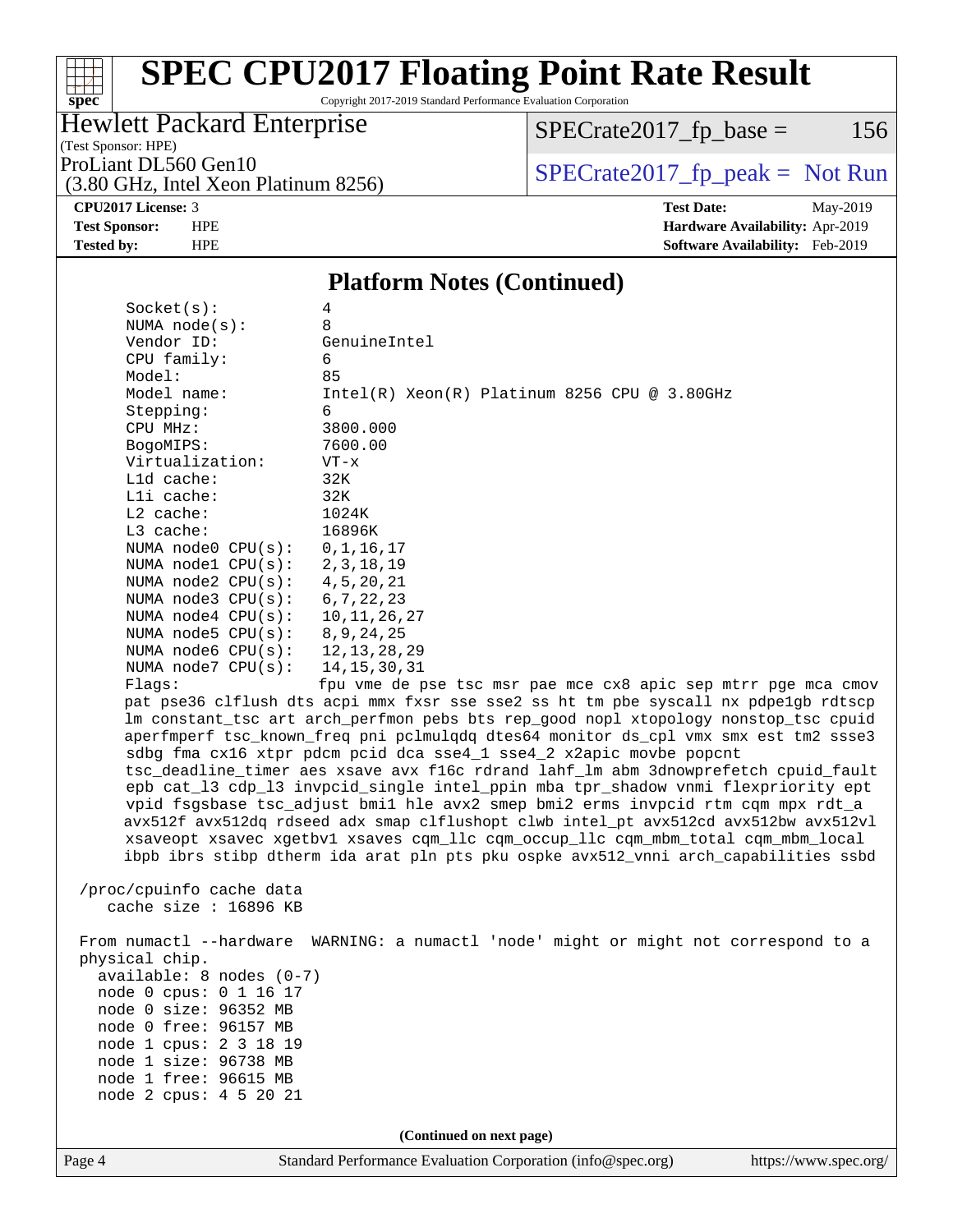# **[spec](http://www.spec.org/)**

## **[SPEC CPU2017 Floating Point Rate Result](http://www.spec.org/auto/cpu2017/Docs/result-fields.html#SPECCPU2017FloatingPointRateResult)**

Copyright 2017-2019 Standard Performance Evaluation Corporation

## Hewlett Packard Enterprise

 $SPECTate2017_fp\_base = 156$ 

(Test Sponsor: HPE)

ProLiant DL560 Gen10<br>(3.80 GHz, Intel Xeon Platinum 8256) [SPECrate2017\\_fp\\_peak =](http://www.spec.org/auto/cpu2017/Docs/result-fields.html#SPECrate2017fppeak) Not Run

## (3.80 GHz, Intel Xeon Platinum 8256)

**[CPU2017 License:](http://www.spec.org/auto/cpu2017/Docs/result-fields.html#CPU2017License)** 3 **[Test Date:](http://www.spec.org/auto/cpu2017/Docs/result-fields.html#TestDate)** May-2019 **[Test Sponsor:](http://www.spec.org/auto/cpu2017/Docs/result-fields.html#TestSponsor)** HPE **[Hardware Availability:](http://www.spec.org/auto/cpu2017/Docs/result-fields.html#HardwareAvailability)** Apr-2019 **[Tested by:](http://www.spec.org/auto/cpu2017/Docs/result-fields.html#Testedby)** HPE **[Software Availability:](http://www.spec.org/auto/cpu2017/Docs/result-fields.html#SoftwareAvailability)** Feb-2019

#### **[Platform Notes \(Continued\)](http://www.spec.org/auto/cpu2017/Docs/result-fields.html#PlatformNotes)**

| Socket(s):                 | 4                                                                                                                                                                          |
|----------------------------|----------------------------------------------------------------------------------------------------------------------------------------------------------------------------|
| NUMA $node(s):$            | 8                                                                                                                                                                          |
| Vendor ID:                 | GenuineIntel                                                                                                                                                               |
| CPU family:                | 6                                                                                                                                                                          |
| Model:<br>Model name:      | 85                                                                                                                                                                         |
| Stepping:                  | $Intel(R) Xeon(R) Platinum 8256 CPU @ 3.80GHz$<br>6                                                                                                                        |
| CPU MHz:                   | 3800.000                                                                                                                                                                   |
| BogoMIPS:                  | 7600.00                                                                                                                                                                    |
| Virtualization:            | $VT - x$                                                                                                                                                                   |
| L1d cache:                 | 32K                                                                                                                                                                        |
| Lli cache:                 | 32K                                                                                                                                                                        |
| $L2$ cache:                | 1024K                                                                                                                                                                      |
| L3 cache:                  | 16896K                                                                                                                                                                     |
| NUMA node0 CPU(s):         | 0, 1, 16, 17                                                                                                                                                               |
| NUMA nodel $CPU(s):$       | 2, 3, 18, 19                                                                                                                                                               |
| NUMA node2 CPU(s):         | 4, 5, 20, 21                                                                                                                                                               |
| NUMA $node3$ $CPU(s)$ :    | 6, 7, 22, 23                                                                                                                                                               |
| NUMA $node4$ $CPU(s):$     | 10, 11, 26, 27                                                                                                                                                             |
| NUMA node5 CPU(s):         | 8, 9, 24, 25                                                                                                                                                               |
| NUMA $node6$ $CPU(s):$     | 12, 13, 28, 29                                                                                                                                                             |
| NUMA node7 CPU(s):         | 14, 15, 30, 31                                                                                                                                                             |
| Flaqs:                     | fpu vme de pse tsc msr pae mce cx8 apic sep mtrr pge mca cmov                                                                                                              |
|                            | pat pse36 clflush dts acpi mmx fxsr sse sse2 ss ht tm pbe syscall nx pdpelgb rdtscp                                                                                        |
|                            | lm constant_tsc art arch_perfmon pebs bts rep_good nopl xtopology nonstop_tsc cpuid<br>aperfmperf tsc_known_freq pni pclmulqdq dtes64 monitor ds_cpl vmx smx est tm2 ssse3 |
|                            | sdbg fma cx16 xtpr pdcm pcid dca sse4_1 sse4_2 x2apic movbe popcnt                                                                                                         |
|                            | tsc_deadline_timer aes xsave avx f16c rdrand lahf_lm abm 3dnowprefetch cpuid_fault                                                                                         |
|                            | epb cat_13 cdp_13 invpcid_single intel_ppin mba tpr_shadow vnmi flexpriority ept                                                                                           |
|                            | vpid fsgsbase tsc_adjust bmil hle avx2 smep bmi2 erms invpcid rtm cqm mpx rdt_a                                                                                            |
|                            | avx512f avx512dq rdseed adx smap clflushopt clwb intel_pt avx512cd avx512bw avx512vl                                                                                       |
|                            | xsaveopt xsavec xgetbvl xsaves cqm_llc cqm_occup_llc cqm_mbm_total cqm_mbm_local                                                                                           |
|                            | ibpb ibrs stibp dtherm ida arat pln pts pku ospke avx512_vnni arch_capabilities ssbd                                                                                       |
|                            |                                                                                                                                                                            |
| /proc/cpuinfo cache data   |                                                                                                                                                                            |
| cache size : $16896$ KB    |                                                                                                                                                                            |
|                            |                                                                                                                                                                            |
| physical chip.             | From numactl --hardware WARNING: a numactl 'node' might or might not correspond to a                                                                                       |
| $available: 8 nodes (0-7)$ |                                                                                                                                                                            |
| node 0 cpus: 0 1 16 17     |                                                                                                                                                                            |
| node 0 size: 96352 MB      |                                                                                                                                                                            |
| node 0 free: 96157 MB      |                                                                                                                                                                            |
| node 1 cpus: 2 3 18 19     |                                                                                                                                                                            |
| node 1 size: 96738 MB      |                                                                                                                                                                            |
| node 1 free: 96615 MB      |                                                                                                                                                                            |
| node 2 cpus: 4 5 20 21     |                                                                                                                                                                            |
|                            |                                                                                                                                                                            |
|                            | (Continued on next page)                                                                                                                                                   |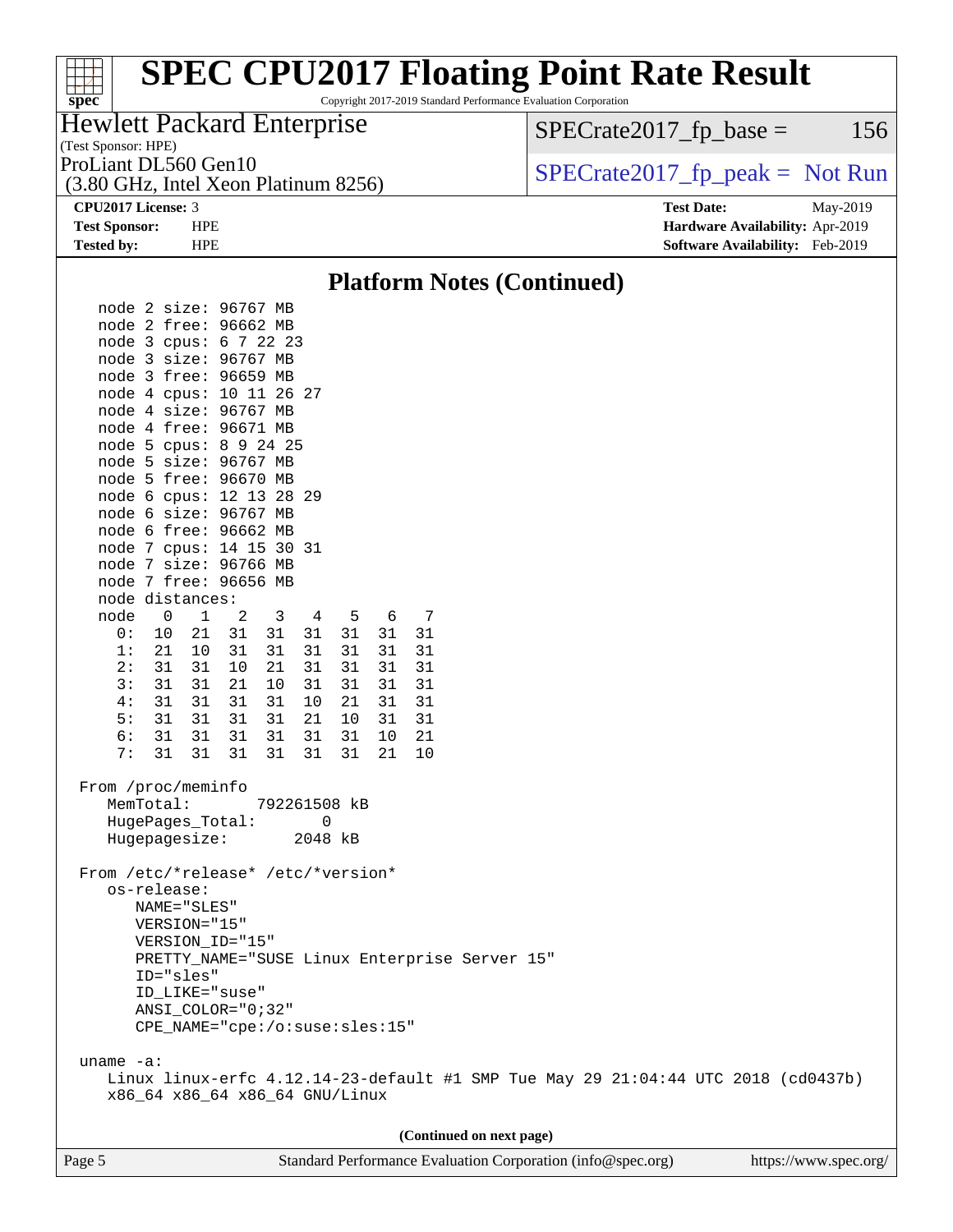# **[spec](http://www.spec.org/)**<sup>®</sup>

## **[SPEC CPU2017 Floating Point Rate Result](http://www.spec.org/auto/cpu2017/Docs/result-fields.html#SPECCPU2017FloatingPointRateResult)**

Copyright 2017-2019 Standard Performance Evaluation Corporation

## Hewlett Packard Enterprise

(Test Sponsor: HPE)

(3.80 GHz, Intel Xeon Platinum 8256)

 $SPECTate2017<sub>fr</sub> base = 156$ 

ProLiant DL560 Gen10  $SPECrate2017$  fp\_peak = Not Run

**[CPU2017 License:](http://www.spec.org/auto/cpu2017/Docs/result-fields.html#CPU2017License)** 3 **[Test Date:](http://www.spec.org/auto/cpu2017/Docs/result-fields.html#TestDate)** May-2019 **[Test Sponsor:](http://www.spec.org/auto/cpu2017/Docs/result-fields.html#TestSponsor)** HPE **[Hardware Availability:](http://www.spec.org/auto/cpu2017/Docs/result-fields.html#HardwareAvailability)** Apr-2019 **[Tested by:](http://www.spec.org/auto/cpu2017/Docs/result-fields.html#Testedby)** HPE **[Software Availability:](http://www.spec.org/auto/cpu2017/Docs/result-fields.html#SoftwareAvailability)** Feb-2019

#### **[Platform Notes \(Continued\)](http://www.spec.org/auto/cpu2017/Docs/result-fields.html#PlatformNotes)** node 2 size: 96767 MB node 2 free: 96662 MB node 3 cpus: 6 7 22 23 node 3 size: 96767 MB node 3 free: 96659 MB node 4 cpus: 10 11 26 27 node 4 size: 96767 MB node 4 free: 96671 MB node 5 cpus: 8 9 24 25 node 5 size: 96767 MB node 5 free: 96670 MB node 6 cpus: 12 13 28 29 node 6 size: 96767 MB node 6 free: 96662 MB node 7 cpus: 14 15 30 31 node 7 size: 96766 MB node 7 free: 96656 MB node distances: node 0 1 2 3 4 5 6 7 0: 10 21 31 31 31 31 31 31 1: 21 10 31 31 31 31 31 31 2: 31 31 10 21 31 31 31 31 3: 31 31 21 10 31 31 31 31 4: 31 31 31 31 10 21 31 31 5: 31 31 31 31 21 10 31 31 6: 31 31 31 31 31 31 10 21 7: 31 31 31 31 31 31 21 10 From /proc/meminfo MemTotal: 792261508 kB HugePages\_Total: 0 Hugepagesize: 2048 kB From /etc/\*release\* /etc/\*version\* os-release: NAME="SLES" VERSION="15" VERSION\_ID="15" PRETTY\_NAME="SUSE Linux Enterprise Server 15" ID="sles" ID\_LIKE="suse" ANSI\_COLOR="0;32" CPE\_NAME="cpe:/o:suse:sles:15" uname -a: Linux linux-erfc 4.12.14-23-default #1 SMP Tue May 29 21:04:44 UTC 2018 (cd0437b) x86\_64 x86\_64 x86\_64 GNU/Linux **(Continued on next page)**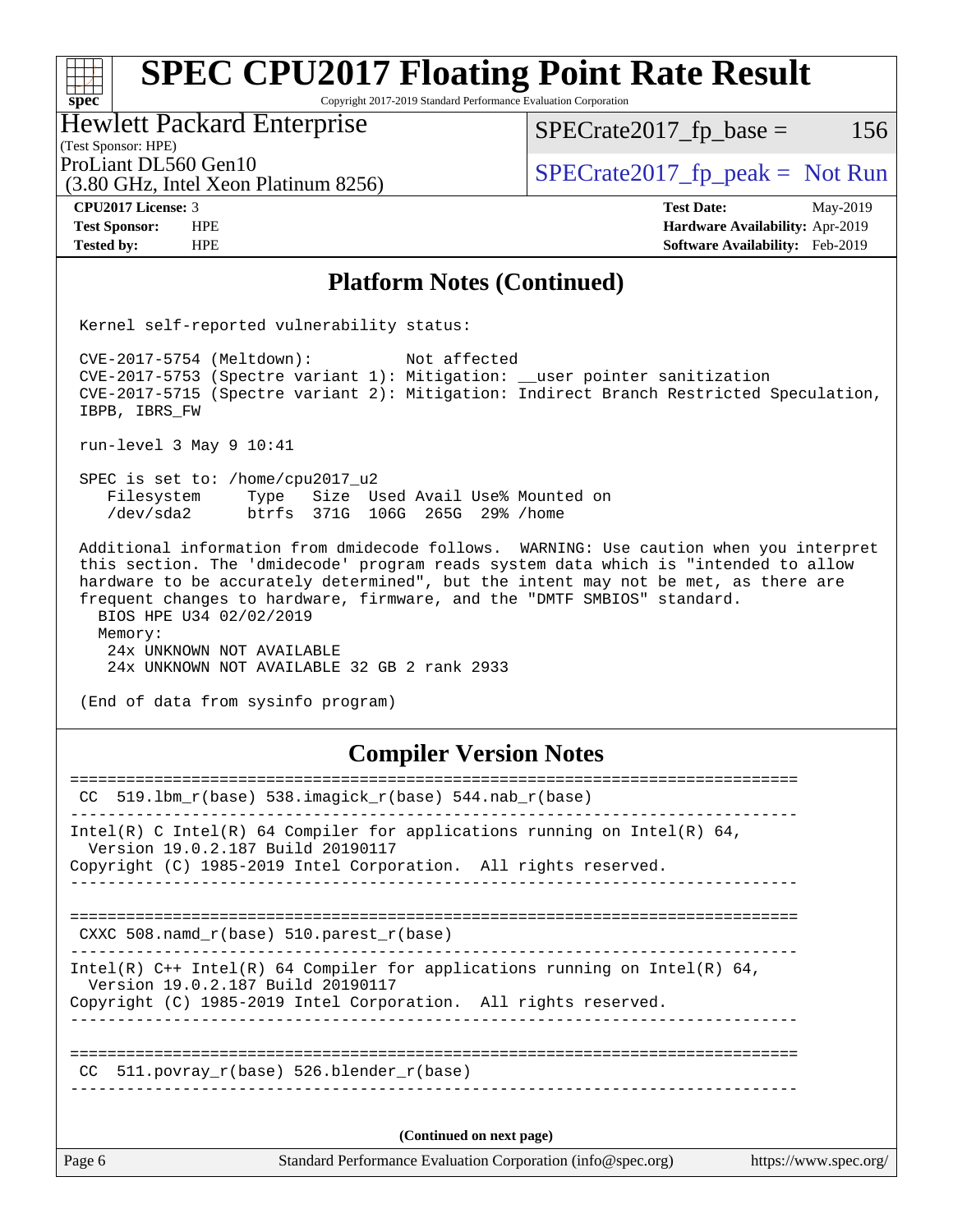#### **[spec](http://www.spec.org/) [SPEC CPU2017 Floating Point Rate Result](http://www.spec.org/auto/cpu2017/Docs/result-fields.html#SPECCPU2017FloatingPointRateResult)** Copyright 2017-2019 Standard Performance Evaluation Corporation Hewlett Packard Enterprise  $SPECTate2017<sub>fr</sub> base = 156$

(Test Sponsor: HPE)

ProLiant DL560 Gen10<br>  $SPECTA 8256$ <br>  $SPECTA 82017<sub>rfp</sub> peak = Not Run$ 

(3.80 GHz, Intel Xeon Platinum 8256)

**[CPU2017 License:](http://www.spec.org/auto/cpu2017/Docs/result-fields.html#CPU2017License)** 3 **[Test Date:](http://www.spec.org/auto/cpu2017/Docs/result-fields.html#TestDate)** May-2019 **[Test Sponsor:](http://www.spec.org/auto/cpu2017/Docs/result-fields.html#TestSponsor)** HPE **[Hardware Availability:](http://www.spec.org/auto/cpu2017/Docs/result-fields.html#HardwareAvailability)** Apr-2019 **[Tested by:](http://www.spec.org/auto/cpu2017/Docs/result-fields.html#Testedby)** HPE **[Software Availability:](http://www.spec.org/auto/cpu2017/Docs/result-fields.html#SoftwareAvailability)** Feb-2019

## **[Platform Notes \(Continued\)](http://www.spec.org/auto/cpu2017/Docs/result-fields.html#PlatformNotes)**

Kernel self-reported vulnerability status:

 CVE-2017-5754 (Meltdown): Not affected CVE-2017-5753 (Spectre variant 1): Mitigation: \_\_user pointer sanitization CVE-2017-5715 (Spectre variant 2): Mitigation: Indirect Branch Restricted Speculation, IBPB, IBRS\_FW

run-level 3 May 9 10:41

 SPEC is set to: /home/cpu2017\_u2 Filesystem Type Size Used Avail Use% Mounted on /dev/sda2 btrfs 371G 106G 265G 29% /home

 Additional information from dmidecode follows. WARNING: Use caution when you interpret this section. The 'dmidecode' program reads system data which is "intended to allow hardware to be accurately determined", but the intent may not be met, as there are frequent changes to hardware, firmware, and the "DMTF SMBIOS" standard. BIOS HPE U34 02/02/2019 Memory: 24x UNKNOWN NOT AVAILABLE

24x UNKNOWN NOT AVAILABLE 32 GB 2 rank 2933

(End of data from sysinfo program)

## **[Compiler Version Notes](http://www.spec.org/auto/cpu2017/Docs/result-fields.html#CompilerVersionNotes)**

| Page 6 | Standard Performance Evaluation Corporation (info@spec.org)                                                                                                                                                           | https://www.spec.org/ |
|--------|-----------------------------------------------------------------------------------------------------------------------------------------------------------------------------------------------------------------------|-----------------------|
|        | (Continued on next page)                                                                                                                                                                                              |                       |
|        | CC $511.$ povray r(base) 526.blender r(base)                                                                                                                                                                          |                       |
|        | Intel(R) $C++$ Intel(R) 64 Compiler for applications running on Intel(R) 64,<br>Version 19.0.2.187 Build 20190117<br>Copyright (C) 1985-2019 Intel Corporation. All rights reserved.                                  |                       |
|        | CXXC 508. namd $r(base)$ 510. parest $r(base)$                                                                                                                                                                        |                       |
|        | Intel(R) C Intel(R) 64 Compiler for applications running on Intel(R) 64,<br>Version 19.0.2.187 Build 20190117<br>Copyright (C) 1985-2019 Intel Corporation. All rights reserved.<br>--------------------------------- |                       |
|        | CC 519.1bm $r(base)$ 538.imagick $r(base)$ 544.nab $r(base)$                                                                                                                                                          |                       |
|        |                                                                                                                                                                                                                       |                       |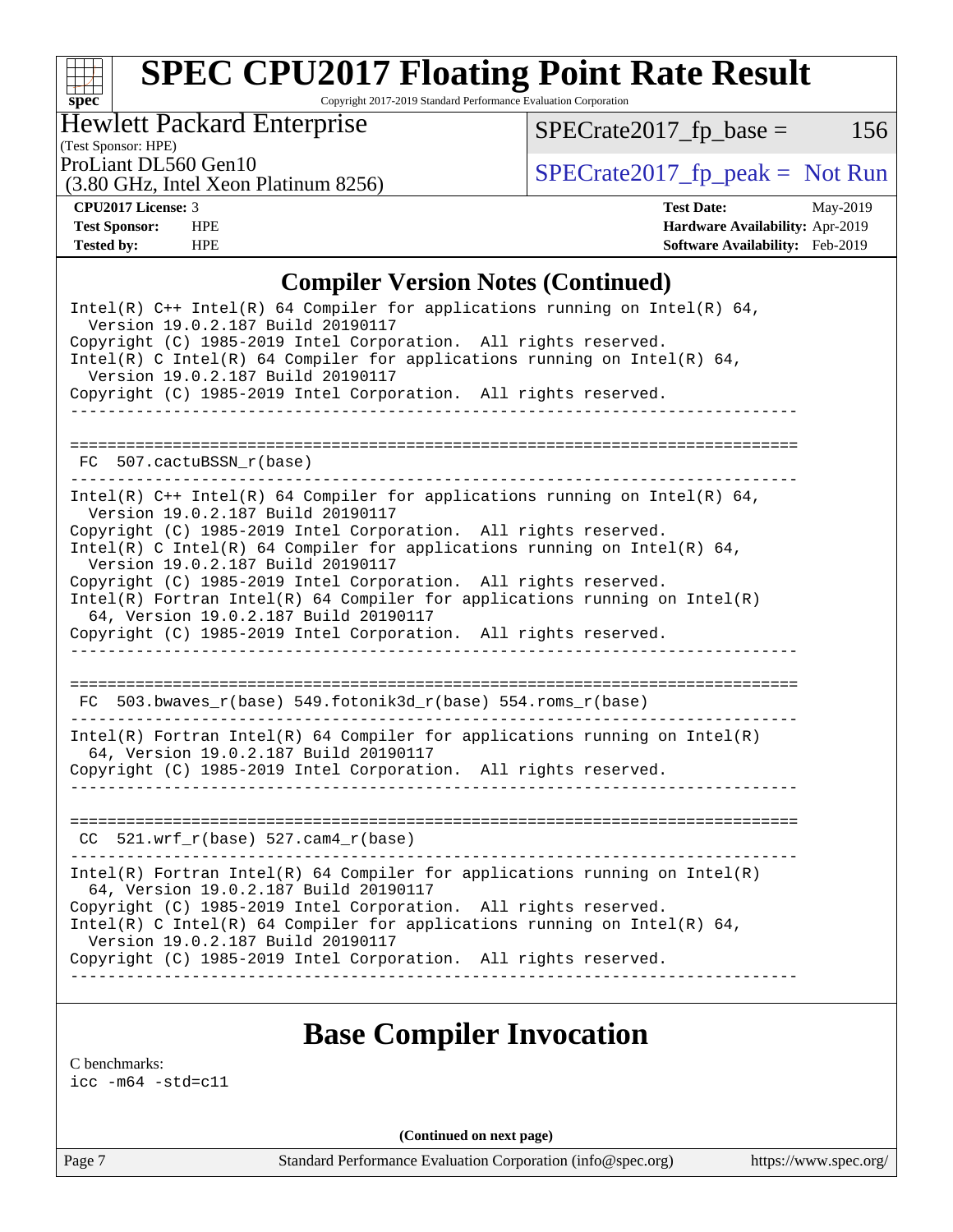

Copyright 2017-2019 Standard Performance Evaluation Corporation

Hewlett Packard Enterprise

(3.80 GHz, Intel Xeon Platinum 8256)

 $SPECrate2017_fp\_base = 156$ 

(Test Sponsor: HPE)

ProLiant DL560 Gen10<br>  $SPECTR 2017$  Spectrate 2017 fp\_peak = Not Run

**[CPU2017 License:](http://www.spec.org/auto/cpu2017/Docs/result-fields.html#CPU2017License)** 3 **[Test Date:](http://www.spec.org/auto/cpu2017/Docs/result-fields.html#TestDate)** May-2019 **[Test Sponsor:](http://www.spec.org/auto/cpu2017/Docs/result-fields.html#TestSponsor)** HPE **[Hardware Availability:](http://www.spec.org/auto/cpu2017/Docs/result-fields.html#HardwareAvailability)** Apr-2019 **[Tested by:](http://www.spec.org/auto/cpu2017/Docs/result-fields.html#Testedby)** HPE **[Software Availability:](http://www.spec.org/auto/cpu2017/Docs/result-fields.html#SoftwareAvailability)** Feb-2019

### **[Compiler Version Notes \(Continued\)](http://www.spec.org/auto/cpu2017/Docs/result-fields.html#CompilerVersionNotes)**

| Intel(R) $C++$ Intel(R) 64 Compiler for applications running on Intel(R) 64,<br>Version 19.0.2.187 Build 20190117<br>Copyright (C) 1985-2019 Intel Corporation. All rights reserved.<br>Intel(R) C Intel(R) 64 Compiler for applications running on Intel(R) 64,<br>Version 19.0.2.187 Build 20190117 |
|-------------------------------------------------------------------------------------------------------------------------------------------------------------------------------------------------------------------------------------------------------------------------------------------------------|
| Copyright (C) 1985-2019 Intel Corporation. All rights reserved.<br>---------------------                                                                                                                                                                                                              |
|                                                                                                                                                                                                                                                                                                       |
| FC 507.cactuBSSN r(base)                                                                                                                                                                                                                                                                              |
| Intel(R) $C++$ Intel(R) 64 Compiler for applications running on Intel(R) 64,<br>Version 19.0.2.187 Build 20190117                                                                                                                                                                                     |
| Copyright (C) 1985-2019 Intel Corporation. All rights reserved.<br>Intel(R) C Intel(R) 64 Compiler for applications running on Intel(R) 64,<br>Version 19.0.2.187 Build 20190117                                                                                                                      |
| Copyright (C) 1985-2019 Intel Corporation. All rights reserved.<br>$Intel(R)$ Fortran Intel(R) 64 Compiler for applications running on Intel(R)<br>64, Version 19.0.2.187 Build 20190117                                                                                                              |
| Copyright (C) 1985-2019 Intel Corporation. All rights reserved.                                                                                                                                                                                                                                       |
|                                                                                                                                                                                                                                                                                                       |
| FC 503.bwaves_r(base) 549.fotonik3d_r(base) 554.roms_r(base)                                                                                                                                                                                                                                          |
| $Intel(R)$ Fortran Intel(R) 64 Compiler for applications running on Intel(R)<br>64, Version 19.0.2.187 Build 20190117                                                                                                                                                                                 |
| Copyright (C) 1985-2019 Intel Corporation. All rights reserved.                                                                                                                                                                                                                                       |
|                                                                                                                                                                                                                                                                                                       |
| $CC$ 521.wrf_ $r(base)$ 527.cam4_ $r(base)$                                                                                                                                                                                                                                                           |
| $Intel(R)$ Fortran Intel(R) 64 Compiler for applications running on Intel(R)<br>64, Version 19.0.2.187 Build 20190117                                                                                                                                                                                 |
| Copyright (C) 1985-2019 Intel Corporation. All rights reserved.<br>Intel(R) C Intel(R) 64 Compiler for applications running on Intel(R) 64,<br>Version 19.0.2.187 Build 20190117                                                                                                                      |
| Copyright (C) 1985-2019 Intel Corporation. All rights reserved.                                                                                                                                                                                                                                       |
|                                                                                                                                                                                                                                                                                                       |

## **[Base Compiler Invocation](http://www.spec.org/auto/cpu2017/Docs/result-fields.html#BaseCompilerInvocation)**

[C benchmarks](http://www.spec.org/auto/cpu2017/Docs/result-fields.html#Cbenchmarks):

[icc -m64 -std=c11](http://www.spec.org/cpu2017/results/res2019q3/cpu2017-20190625-15741.flags.html#user_CCbase_intel_icc_64bit_c11_33ee0cdaae7deeeab2a9725423ba97205ce30f63b9926c2519791662299b76a0318f32ddfffdc46587804de3178b4f9328c46fa7c2b0cd779d7a61945c91cd35)

**(Continued on next page)**

Page 7 Standard Performance Evaluation Corporation [\(info@spec.org\)](mailto:info@spec.org) <https://www.spec.org/>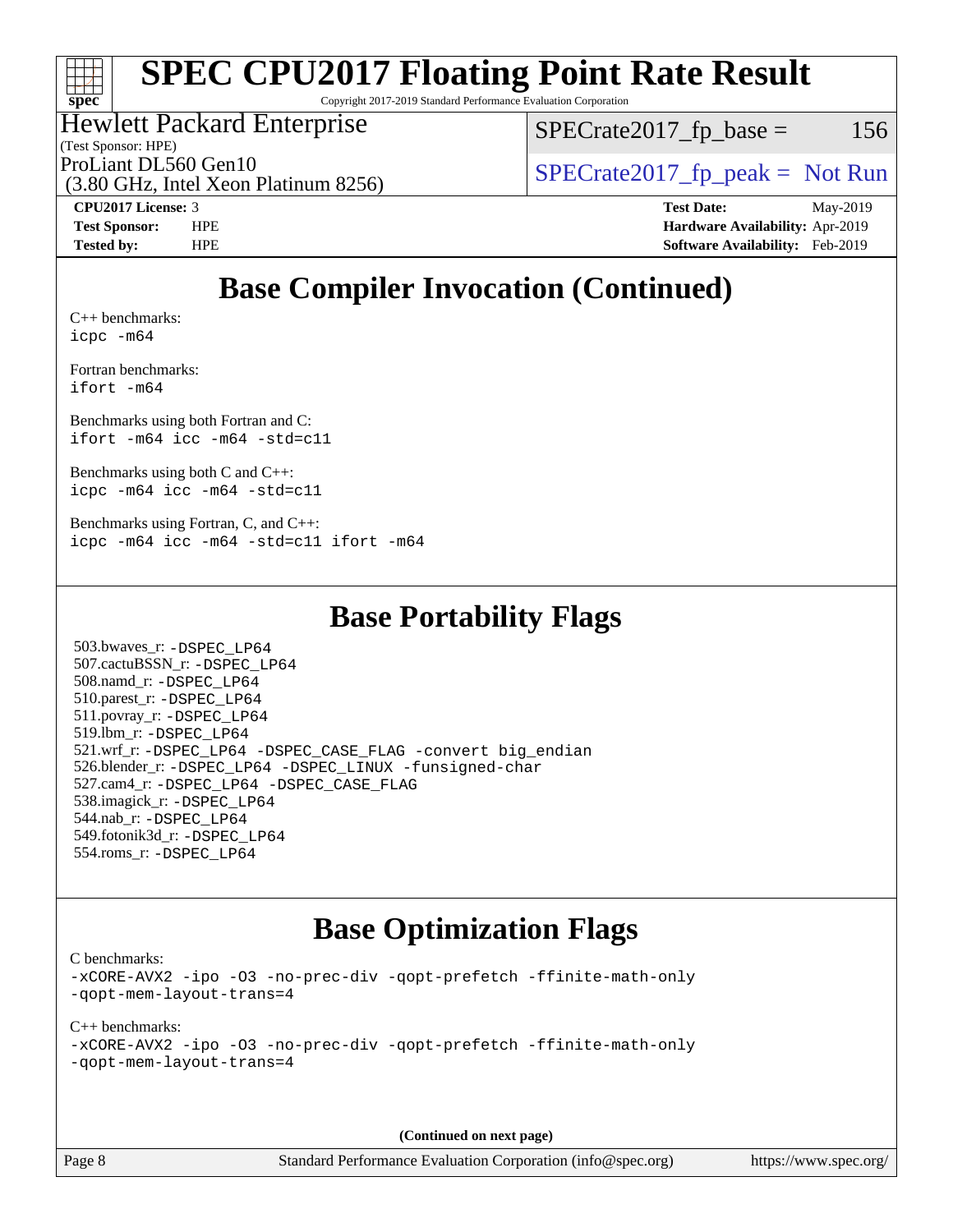

Copyright 2017-2019 Standard Performance Evaluation Corporation

Hewlett Packard Enterprise

(Test Sponsor: HPE)

 $SPECTate2017<sub>fr</sub> base = 156$ 

(3.80 GHz, Intel Xeon Platinum 8256)

ProLiant DL560 Gen10  $SPECrate2017$  fp\_peak = Not Run

**[CPU2017 License:](http://www.spec.org/auto/cpu2017/Docs/result-fields.html#CPU2017License)** 3 **[Test Date:](http://www.spec.org/auto/cpu2017/Docs/result-fields.html#TestDate)** May-2019 **[Test Sponsor:](http://www.spec.org/auto/cpu2017/Docs/result-fields.html#TestSponsor)** HPE **[Hardware Availability:](http://www.spec.org/auto/cpu2017/Docs/result-fields.html#HardwareAvailability)** Apr-2019 **[Tested by:](http://www.spec.org/auto/cpu2017/Docs/result-fields.html#Testedby)** HPE **[Software Availability:](http://www.spec.org/auto/cpu2017/Docs/result-fields.html#SoftwareAvailability)** Feb-2019

## **[Base Compiler Invocation \(Continued\)](http://www.spec.org/auto/cpu2017/Docs/result-fields.html#BaseCompilerInvocation)**

[C++ benchmarks:](http://www.spec.org/auto/cpu2017/Docs/result-fields.html#CXXbenchmarks) [icpc -m64](http://www.spec.org/cpu2017/results/res2019q3/cpu2017-20190625-15741.flags.html#user_CXXbase_intel_icpc_64bit_4ecb2543ae3f1412ef961e0650ca070fec7b7afdcd6ed48761b84423119d1bf6bdf5cad15b44d48e7256388bc77273b966e5eb805aefd121eb22e9299b2ec9d9)

[Fortran benchmarks](http://www.spec.org/auto/cpu2017/Docs/result-fields.html#Fortranbenchmarks): [ifort -m64](http://www.spec.org/cpu2017/results/res2019q3/cpu2017-20190625-15741.flags.html#user_FCbase_intel_ifort_64bit_24f2bb282fbaeffd6157abe4f878425411749daecae9a33200eee2bee2fe76f3b89351d69a8130dd5949958ce389cf37ff59a95e7a40d588e8d3a57e0c3fd751)

[Benchmarks using both Fortran and C](http://www.spec.org/auto/cpu2017/Docs/result-fields.html#BenchmarksusingbothFortranandC): [ifort -m64](http://www.spec.org/cpu2017/results/res2019q3/cpu2017-20190625-15741.flags.html#user_CC_FCbase_intel_ifort_64bit_24f2bb282fbaeffd6157abe4f878425411749daecae9a33200eee2bee2fe76f3b89351d69a8130dd5949958ce389cf37ff59a95e7a40d588e8d3a57e0c3fd751) [icc -m64 -std=c11](http://www.spec.org/cpu2017/results/res2019q3/cpu2017-20190625-15741.flags.html#user_CC_FCbase_intel_icc_64bit_c11_33ee0cdaae7deeeab2a9725423ba97205ce30f63b9926c2519791662299b76a0318f32ddfffdc46587804de3178b4f9328c46fa7c2b0cd779d7a61945c91cd35)

[Benchmarks using both C and C++](http://www.spec.org/auto/cpu2017/Docs/result-fields.html#BenchmarksusingbothCandCXX): [icpc -m64](http://www.spec.org/cpu2017/results/res2019q3/cpu2017-20190625-15741.flags.html#user_CC_CXXbase_intel_icpc_64bit_4ecb2543ae3f1412ef961e0650ca070fec7b7afdcd6ed48761b84423119d1bf6bdf5cad15b44d48e7256388bc77273b966e5eb805aefd121eb22e9299b2ec9d9) [icc -m64 -std=c11](http://www.spec.org/cpu2017/results/res2019q3/cpu2017-20190625-15741.flags.html#user_CC_CXXbase_intel_icc_64bit_c11_33ee0cdaae7deeeab2a9725423ba97205ce30f63b9926c2519791662299b76a0318f32ddfffdc46587804de3178b4f9328c46fa7c2b0cd779d7a61945c91cd35)

[Benchmarks using Fortran, C, and C++:](http://www.spec.org/auto/cpu2017/Docs/result-fields.html#BenchmarksusingFortranCandCXX) [icpc -m64](http://www.spec.org/cpu2017/results/res2019q3/cpu2017-20190625-15741.flags.html#user_CC_CXX_FCbase_intel_icpc_64bit_4ecb2543ae3f1412ef961e0650ca070fec7b7afdcd6ed48761b84423119d1bf6bdf5cad15b44d48e7256388bc77273b966e5eb805aefd121eb22e9299b2ec9d9) [icc -m64 -std=c11](http://www.spec.org/cpu2017/results/res2019q3/cpu2017-20190625-15741.flags.html#user_CC_CXX_FCbase_intel_icc_64bit_c11_33ee0cdaae7deeeab2a9725423ba97205ce30f63b9926c2519791662299b76a0318f32ddfffdc46587804de3178b4f9328c46fa7c2b0cd779d7a61945c91cd35) [ifort -m64](http://www.spec.org/cpu2017/results/res2019q3/cpu2017-20190625-15741.flags.html#user_CC_CXX_FCbase_intel_ifort_64bit_24f2bb282fbaeffd6157abe4f878425411749daecae9a33200eee2bee2fe76f3b89351d69a8130dd5949958ce389cf37ff59a95e7a40d588e8d3a57e0c3fd751)

## **[Base Portability Flags](http://www.spec.org/auto/cpu2017/Docs/result-fields.html#BasePortabilityFlags)**

 503.bwaves\_r: [-DSPEC\\_LP64](http://www.spec.org/cpu2017/results/res2019q3/cpu2017-20190625-15741.flags.html#suite_basePORTABILITY503_bwaves_r_DSPEC_LP64) 507.cactuBSSN\_r: [-DSPEC\\_LP64](http://www.spec.org/cpu2017/results/res2019q3/cpu2017-20190625-15741.flags.html#suite_basePORTABILITY507_cactuBSSN_r_DSPEC_LP64) 508.namd\_r: [-DSPEC\\_LP64](http://www.spec.org/cpu2017/results/res2019q3/cpu2017-20190625-15741.flags.html#suite_basePORTABILITY508_namd_r_DSPEC_LP64) 510.parest\_r: [-DSPEC\\_LP64](http://www.spec.org/cpu2017/results/res2019q3/cpu2017-20190625-15741.flags.html#suite_basePORTABILITY510_parest_r_DSPEC_LP64) 511.povray\_r: [-DSPEC\\_LP64](http://www.spec.org/cpu2017/results/res2019q3/cpu2017-20190625-15741.flags.html#suite_basePORTABILITY511_povray_r_DSPEC_LP64) 519.lbm\_r: [-DSPEC\\_LP64](http://www.spec.org/cpu2017/results/res2019q3/cpu2017-20190625-15741.flags.html#suite_basePORTABILITY519_lbm_r_DSPEC_LP64) 521.wrf\_r: [-DSPEC\\_LP64](http://www.spec.org/cpu2017/results/res2019q3/cpu2017-20190625-15741.flags.html#suite_basePORTABILITY521_wrf_r_DSPEC_LP64) [-DSPEC\\_CASE\\_FLAG](http://www.spec.org/cpu2017/results/res2019q3/cpu2017-20190625-15741.flags.html#b521.wrf_r_baseCPORTABILITY_DSPEC_CASE_FLAG) [-convert big\\_endian](http://www.spec.org/cpu2017/results/res2019q3/cpu2017-20190625-15741.flags.html#user_baseFPORTABILITY521_wrf_r_convert_big_endian_c3194028bc08c63ac5d04de18c48ce6d347e4e562e8892b8bdbdc0214820426deb8554edfa529a3fb25a586e65a3d812c835984020483e7e73212c4d31a38223) 526.blender\_r: [-DSPEC\\_LP64](http://www.spec.org/cpu2017/results/res2019q3/cpu2017-20190625-15741.flags.html#suite_basePORTABILITY526_blender_r_DSPEC_LP64) [-DSPEC\\_LINUX](http://www.spec.org/cpu2017/results/res2019q3/cpu2017-20190625-15741.flags.html#b526.blender_r_baseCPORTABILITY_DSPEC_LINUX) [-funsigned-char](http://www.spec.org/cpu2017/results/res2019q3/cpu2017-20190625-15741.flags.html#user_baseCPORTABILITY526_blender_r_force_uchar_40c60f00ab013830e2dd6774aeded3ff59883ba5a1fc5fc14077f794d777847726e2a5858cbc7672e36e1b067e7e5c1d9a74f7176df07886a243d7cc18edfe67) 527.cam4\_r: [-DSPEC\\_LP64](http://www.spec.org/cpu2017/results/res2019q3/cpu2017-20190625-15741.flags.html#suite_basePORTABILITY527_cam4_r_DSPEC_LP64) [-DSPEC\\_CASE\\_FLAG](http://www.spec.org/cpu2017/results/res2019q3/cpu2017-20190625-15741.flags.html#b527.cam4_r_baseCPORTABILITY_DSPEC_CASE_FLAG) 538.imagick\_r: [-DSPEC\\_LP64](http://www.spec.org/cpu2017/results/res2019q3/cpu2017-20190625-15741.flags.html#suite_basePORTABILITY538_imagick_r_DSPEC_LP64) 544.nab\_r: [-DSPEC\\_LP64](http://www.spec.org/cpu2017/results/res2019q3/cpu2017-20190625-15741.flags.html#suite_basePORTABILITY544_nab_r_DSPEC_LP64) 549.fotonik3d\_r: [-DSPEC\\_LP64](http://www.spec.org/cpu2017/results/res2019q3/cpu2017-20190625-15741.flags.html#suite_basePORTABILITY549_fotonik3d_r_DSPEC_LP64) 554.roms\_r: [-DSPEC\\_LP64](http://www.spec.org/cpu2017/results/res2019q3/cpu2017-20190625-15741.flags.html#suite_basePORTABILITY554_roms_r_DSPEC_LP64)

## **[Base Optimization Flags](http://www.spec.org/auto/cpu2017/Docs/result-fields.html#BaseOptimizationFlags)**

[C benchmarks](http://www.spec.org/auto/cpu2017/Docs/result-fields.html#Cbenchmarks):

[-xCORE-AVX2](http://www.spec.org/cpu2017/results/res2019q3/cpu2017-20190625-15741.flags.html#user_CCbase_f-xCORE-AVX2) [-ipo](http://www.spec.org/cpu2017/results/res2019q3/cpu2017-20190625-15741.flags.html#user_CCbase_f-ipo) [-O3](http://www.spec.org/cpu2017/results/res2019q3/cpu2017-20190625-15741.flags.html#user_CCbase_f-O3) [-no-prec-div](http://www.spec.org/cpu2017/results/res2019q3/cpu2017-20190625-15741.flags.html#user_CCbase_f-no-prec-div) [-qopt-prefetch](http://www.spec.org/cpu2017/results/res2019q3/cpu2017-20190625-15741.flags.html#user_CCbase_f-qopt-prefetch) [-ffinite-math-only](http://www.spec.org/cpu2017/results/res2019q3/cpu2017-20190625-15741.flags.html#user_CCbase_f_finite_math_only_cb91587bd2077682c4b38af759c288ed7c732db004271a9512da14a4f8007909a5f1427ecbf1a0fb78ff2a814402c6114ac565ca162485bbcae155b5e4258871) [-qopt-mem-layout-trans=4](http://www.spec.org/cpu2017/results/res2019q3/cpu2017-20190625-15741.flags.html#user_CCbase_f-qopt-mem-layout-trans_fa39e755916c150a61361b7846f310bcdf6f04e385ef281cadf3647acec3f0ae266d1a1d22d972a7087a248fd4e6ca390a3634700869573d231a252c784941a8)

[C++ benchmarks:](http://www.spec.org/auto/cpu2017/Docs/result-fields.html#CXXbenchmarks) [-xCORE-AVX2](http://www.spec.org/cpu2017/results/res2019q3/cpu2017-20190625-15741.flags.html#user_CXXbase_f-xCORE-AVX2) [-ipo](http://www.spec.org/cpu2017/results/res2019q3/cpu2017-20190625-15741.flags.html#user_CXXbase_f-ipo) [-O3](http://www.spec.org/cpu2017/results/res2019q3/cpu2017-20190625-15741.flags.html#user_CXXbase_f-O3) [-no-prec-div](http://www.spec.org/cpu2017/results/res2019q3/cpu2017-20190625-15741.flags.html#user_CXXbase_f-no-prec-div) [-qopt-prefetch](http://www.spec.org/cpu2017/results/res2019q3/cpu2017-20190625-15741.flags.html#user_CXXbase_f-qopt-prefetch) [-ffinite-math-only](http://www.spec.org/cpu2017/results/res2019q3/cpu2017-20190625-15741.flags.html#user_CXXbase_f_finite_math_only_cb91587bd2077682c4b38af759c288ed7c732db004271a9512da14a4f8007909a5f1427ecbf1a0fb78ff2a814402c6114ac565ca162485bbcae155b5e4258871) [-qopt-mem-layout-trans=4](http://www.spec.org/cpu2017/results/res2019q3/cpu2017-20190625-15741.flags.html#user_CXXbase_f-qopt-mem-layout-trans_fa39e755916c150a61361b7846f310bcdf6f04e385ef281cadf3647acec3f0ae266d1a1d22d972a7087a248fd4e6ca390a3634700869573d231a252c784941a8)

**(Continued on next page)**

Page 8 Standard Performance Evaluation Corporation [\(info@spec.org\)](mailto:info@spec.org) <https://www.spec.org/>